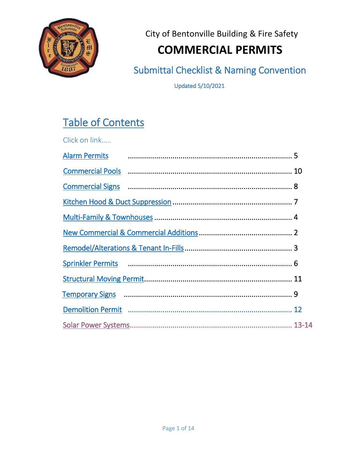

City of Bentonville Building & Fire Safety

# **COMMERCIAL PERMITS**

Submittal Checklist & Naming Convention

Updated 5/10/2021

# Table of Contents

| Click on link        |                                                                                                                                                                                                                               |  |
|----------------------|-------------------------------------------------------------------------------------------------------------------------------------------------------------------------------------------------------------------------------|--|
| <b>Alarm Permits</b> |                                                                                                                                                                                                                               |  |
|                      |                                                                                                                                                                                                                               |  |
|                      |                                                                                                                                                                                                                               |  |
|                      |                                                                                                                                                                                                                               |  |
|                      |                                                                                                                                                                                                                               |  |
|                      |                                                                                                                                                                                                                               |  |
|                      |                                                                                                                                                                                                                               |  |
|                      | Sprinkler Permits (1990) 2003 (1991) 6 Sprinkler Permits (1990) 30 Sprinkler Permits (1991) 30 Sprinkler Permits (1991) 30 Spring (1991) 30 Spring (1991) 30 Spring (1991) 30 Spring (1991) 30 Spring (1991) 30 Spring (1991) |  |
|                      |                                                                                                                                                                                                                               |  |
|                      |                                                                                                                                                                                                                               |  |
|                      |                                                                                                                                                                                                                               |  |
|                      |                                                                                                                                                                                                                               |  |
|                      |                                                                                                                                                                                                                               |  |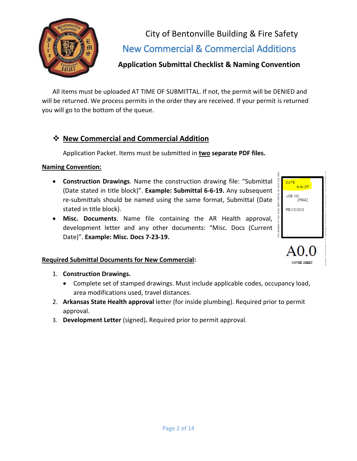

<span id="page-1-0"></span>City of Bentonville Building & Fire Safety New Commercial & Commercial Additions

# **Application Submittal Checklist & Naming Convention**

All items must be uploaded AT TIME OF SUBMITTAL. If not, the permit will be DENIED and will be returned. We process permits in the order they are received. If your permit is returned you will go to the bottom of the queue.

# **New Commercial and Commercial Addition**

Application Packet. Items must be submitted in **two separate PDF files.**

#### **Naming Convention:**

- **Construction Drawings**. Name the construction drawing file: "Submittal (Date stated in title block)". **Example: Submittal 6-6-19.** Any subsequent re-submittals should be named using the same format, Submittal (Date stated in title block).
- **Misc. Documents**. Name file containing the AR Health approval, development letter and any other documents: "Misc. Docs (Current Date)". **Example: Misc. Docs 7-23-19.**

#### **Required Submittal Documents for New Commercial:**

- 1. **Construction Drawings.**
	- Complete set of stamped drawings. Must include applicable codes, occupancy load, area modifications used, travel distances.
- 2. **Arkansas State Health approval** letter (for inside plumbing). Required prior to permit approval.
- 3. **Development Letter** (signed)**.** Required prior to permit approval.

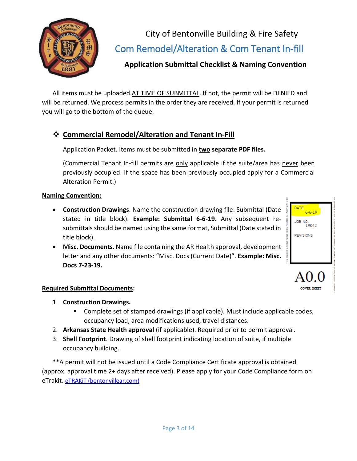

<span id="page-2-0"></span>City of Bentonville Building & Fire Safety Com Remodel/Alteration & Com Tenant In-fill

# **Application Submittal Checklist & Naming Convention**

All items must be uploaded AT TIME OF SUBMITTAL. If not, the permit will be DENIED and will be returned. We process permits in the order they are received. If your permit is returned you will go to the bottom of the queue.

# **Commercial Remodel/Alteration and Tenant In-Fill**

Application Packet. Items must be submitted in **two separate PDF files.**

(Commercial Tenant In-fill permits are only applicable if the suite/area has never been previously occupied. If the space has been previously occupied apply for a Commercial Alteration Permit.)

#### **Naming Convention:**

- **Construction Drawings**. Name the construction drawing file: Submittal (Date stated in title block). **Example: Submittal 6-6-19.** Any subsequent resubmittals should be named using the same format, Submittal (Date stated in title block).
- **Misc. Documents**. Name file containing the AR Health approval, development letter and any other documents: "Misc. Docs (Current Date)". **Example: Misc. Docs 7-23-19.**

# JOB NO.<br>19042 **REVISIONS**

 $6 - 6 - 19$ 

#### **Required Submittal Documents:**

- 1. **Construction Drawings.**
	- **Complete set of stamped drawings (if applicable). Must include applicable codes,** occupancy load, area modifications used, travel distances.
- 2. **Arkansas State Health approval** (if applicable). Required prior to permit approval.
- 3. **Shell Footprint**. Drawing of shell footprint indicating location of suite, if multiple occupancy building.

\*\*A permit will not be issued until a Code Compliance Certificate approval is obtained (approx. approval time 2+ days after received). Please apply for your Code Compliance form on eTrakit. [eTRAKiT \(bentonvillear.com\)](http://trakitweb.bentonvillear.com/etrakit/)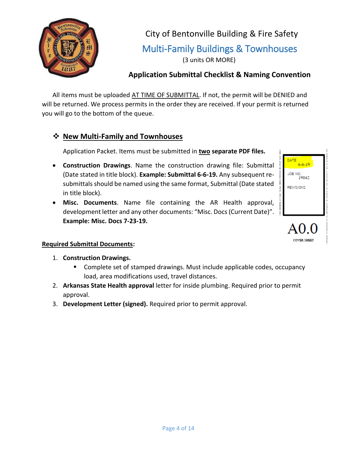

City of Bentonville Building & Fire Safety Multi-Family Buildings & Townhouses (3 units OR MORE)

# <span id="page-3-0"></span>**Application Submittal Checklist & Naming Convention**

All items must be uploaded AT TIME OF SUBMITTAL. If not, the permit will be DENIED and will be returned. We process permits in the order they are received. If your permit is returned you will go to the bottom of the queue.

## **New Multi-Family and Townhouses**

Application Packet. Items must be submitted in **two separate PDF files.**

- **Construction Drawings**. Name the construction drawing file: Submittal (Date stated in title block). **Example: Submittal 6-6-19.** Any subsequent resubmittals should be named using the same format, Submittal (Date stated in title block).
- **Misc. Documents**. Name file containing the AR Health approval, development letter and any other documents: "Misc. Docs(Current Date)". **Example: Misc. Docs 7-23-19.**



**OVER SHEET** 

#### **Required Submittal Documents:**

- 1. **Construction Drawings.**
	- **Complete set of stamped drawings. Must include applicable codes, occupancy** load, area modifications used, travel distances.
- 2. **Arkansas State Health approval** letter for inside plumbing. Required prior to permit approval.
- 3. **Development Letter (signed).** Required prior to permit approval.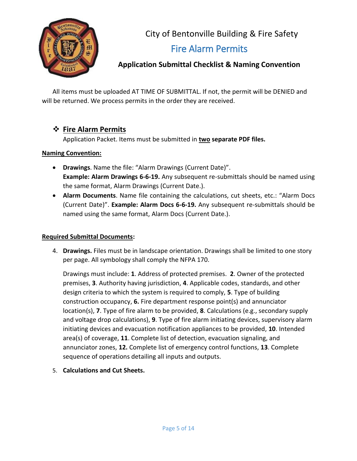

City of Bentonville Building & Fire Safety Fire Alarm Permits

# <span id="page-4-0"></span>**Application Submittal Checklist & Naming Convention**

All items must be uploaded AT TIME OF SUBMITTAL. If not, the permit will be DENIED and will be returned. We process permits in the order they are received.

## **Fire Alarm Permits**

Application Packet. Items must be submitted in **two separate PDF files.**

#### **Naming Convention:**

- **Drawings**. Name the file: "Alarm Drawings (Current Date)". **Example: Alarm Drawings 6-6-19.** Any subsequent re-submittals should be named using the same format, Alarm Drawings (Current Date.).
- **Alarm Documents**. Name file containing the calculations, cut sheets, etc.: "Alarm Docs (Current Date)". **Example: Alarm Docs 6-6-19.** Any subsequent re-submittals should be named using the same format, Alarm Docs (Current Date.).

#### **Required Submittal Documents:**

4. **Drawings.** Files must be in landscape orientation. Drawings shall be limited to one story per page. All symbology shall comply the NFPA 170.

Drawings must include: **1**. Address of protected premises. **2**. Owner of the protected premises, **3**. Authority having jurisdiction, **4**. Applicable codes, standards, and other design criteria to which the system is required to comply, **5**. Type of building construction occupancy, **6.** Fire department response point(s) and annunciator location(s), **7**. Type of fire alarm to be provided, **8**. Calculations (e.g., secondary supply and voltage drop calculations), **9**. Type of fire alarm initiating devices, supervisory alarm initiating devices and evacuation notification appliances to be provided, **10**. Intended area(s) of coverage, **11**. Complete list of detection, evacuation signaling, and annunciator zones, **12.** Complete list of emergency control functions, **13**. Complete sequence of operations detailing all inputs and outputs.

5. **Calculations and Cut Sheets.**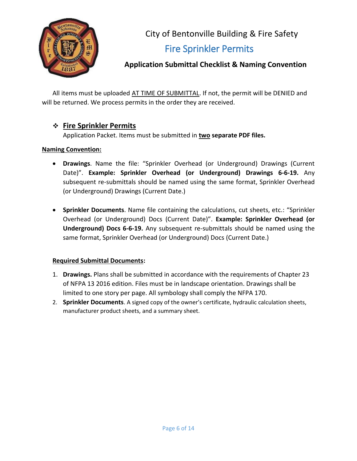

City of Bentonville Building & Fire Safety Fire Sprinkler Permits

# <span id="page-5-0"></span>**Application Submittal Checklist & Naming Convention**

All items must be uploaded AT TIME OF SUBMITTAL. If not, the permit will be DENIED and will be returned. We process permits in the order they are received.

#### **Fire Sprinkler Permits**

Application Packet. Items must be submitted in **two separate PDF files.**

#### **Naming Convention:**

- **Drawings**. Name the file: "Sprinkler Overhead (or Underground) Drawings (Current Date)". **Example: Sprinkler Overhead (or Underground) Drawings 6-6-19.** Any subsequent re-submittals should be named using the same format, Sprinkler Overhead (or Underground) Drawings (Current Date.)
- **Sprinkler Documents**. Name file containing the calculations, cut sheets, etc.: "Sprinkler Overhead (or Underground) Docs (Current Date)". **Example: Sprinkler Overhead (or Underground) Docs 6-6-19.** Any subsequent re-submittals should be named using the same format, Sprinkler Overhead (or Underground) Docs (Current Date.)

#### **Required Submittal Documents:**

- 1. **Drawings.** Plans shall be submitted in accordance with the requirements of Chapter 23 of NFPA 13 2016 edition. Files must be in landscape orientation. Drawings shall be limited to one story per page. All symbology shall comply the NFPA 170.
- 2. **Sprinkler Documents**. A signed copy of the owner's certificate, hydraulic calculation sheets, manufacturer product sheets, and a summary sheet.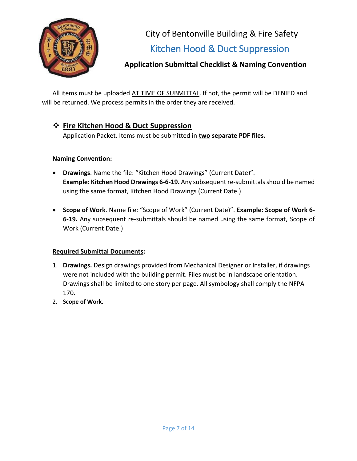

City of Bentonville Building & Fire Safety Kitchen Hood & Duct Suppression

# <span id="page-6-0"></span>**Application Submittal Checklist & Naming Convention**

All items must be uploaded AT TIME OF SUBMITTAL. If not, the permit will be DENIED and will be returned. We process permits in the order they are received.

## **Fire Kitchen Hood & Duct Suppression**

Application Packet. Items must be submitted in **two separate PDF files.**

#### **Naming Convention:**

- **Drawings**. Name the file: "Kitchen Hood Drawings" (Current Date)". **Example: Kitchen Hood Drawings 6-6-19.** Any subsequent re-submittals should be named using the same format, Kitchen Hood Drawings (Current Date.)
- **Scope of Work**. Name file: "Scope of Work" (Current Date)". **Example: Scope of Work 6- 6-19.** Any subsequent re-submittals should be named using the same format, Scope of Work (Current Date.)

#### **Required Submittal Documents:**

- 1. **Drawings.** Design drawings provided from Mechanical Designer or Installer, if drawings were not included with the building permit. Files must be in landscape orientation. Drawings shall be limited to one story per page. All symbology shall comply the NFPA 170.
- 2. **Scope of Work.**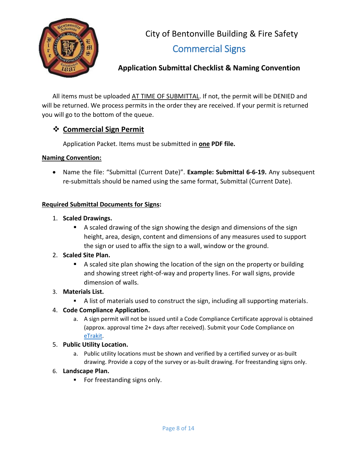

City of Bentonville Building & Fire Safety Commercial Signs

# <span id="page-7-0"></span>**Application Submittal Checklist & Naming Convention**

All items must be uploaded AT TIME OF SUBMITTAL. If not, the permit will be DENIED and will be returned. We process permits in the order they are received. If your permit is returned you will go to the bottom of the queue.

# **Commercial Sign Permit**

Application Packet. Items must be submitted in **one PDF file.**

#### **Naming Convention:**

 Name the file: "Submittal (Current Date)". **Example: Submittal 6-6-19.** Any subsequent re-submittals should be named using the same format, Submittal (Current Date).

#### **Required Submittal Documents for Signs:**

- 1. **Scaled Drawings.**
	- A scaled drawing of the sign showing the design and dimensions of the sign height, area, design, content and dimensions of any measures used to support the sign or used to affix the sign to a wall, window or the ground.

#### 2. **Scaled Site Plan.**

 A scaled site plan showing the location of the sign on the property or building and showing street right-of-way and property lines. For wall signs, provide dimension of walls.

#### 3. **Materials List.**

A list of materials used to construct the sign, including all supporting materials.

#### 4. **Code Compliance Application.**

a. A sign permit will not be issued until a Code Compliance Certificate approval is obtained (approx. approval time 2+ days after received). Submit your Code Compliance on [eTrakit.](http://trakitweb.bentonvillear.com/etrakit/)

#### 5. **Public Utility Location.**

a. Public utility locations must be shown and verified by a certified survey or as-built drawing. Provide a copy of the survey or as-built drawing. For freestanding signs only.

#### 6. **Landscape Plan.**

For freestanding signs only.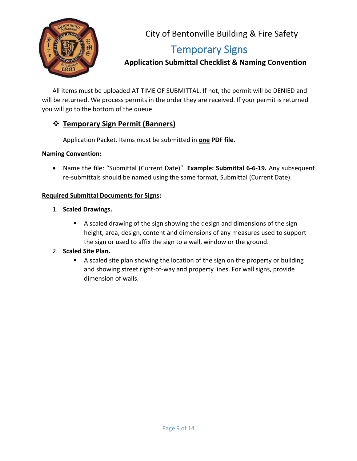

City of Bentonville Building & Fire Safety

# Temporary Signs

<span id="page-8-0"></span> **Application Submittal Checklist & Naming Convention**

All items must be uploaded AT TIME OF SUBMITTAL. If not, the permit will be DENIED and will be returned. We process permits in the order they are received. If your permit is returned you will go to the bottom of the queue.

# **Temporary Sign Permit (Banners)**

Application Packet. Items must be submitted in **one PDF file.**

#### **Naming Convention:**

 Name the file: "Submittal (Current Date)". **Example: Submittal 6-6-19.** Any subsequent re-submittals should be named using the same format, Submittal (Current Date).

#### **Required Submittal Documents for Signs:**

- 1. **Scaled Drawings.**
	- A scaled drawing of the sign showing the design and dimensions of the sign height, area, design, content and dimensions of any measures used to support the sign or used to affix the sign to a wall, window or the ground.

#### 2. **Scaled Site Plan.**

A scaled site plan showing the location of the sign on the property or building and showing street right-of-way and property lines. For wall signs, provide dimension of walls.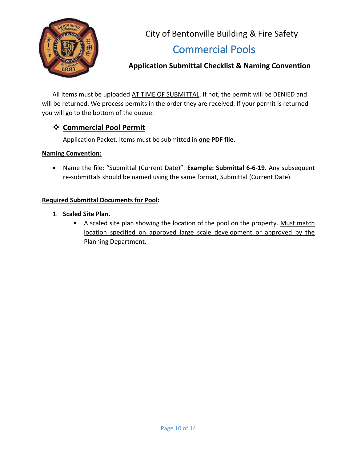

City of Bentonville Building & Fire Safety Commercial Pools

# <span id="page-9-0"></span>**Application Submittal Checklist & Naming Convention**

All items must be uploaded AT TIME OF SUBMITTAL. If not, the permit will be DENIED and will be returned. We process permits in the order they are received. If your permit is returned you will go to the bottom of the queue.

# **Commercial Pool Permit**

Application Packet. Items must be submitted in **one PDF file.**

#### **Naming Convention:**

 Name the file: "Submittal (Current Date)". **Example: Submittal 6-6-19.** Any subsequent re-submittals should be named using the same format, Submittal (Current Date).

#### **Required Submittal Documents for Pool:**

- 1. **Scaled Site Plan.** 
	- A scaled site plan showing the location of the pool on the property. Must match location specified on approved large scale development or approved by the Planning Department.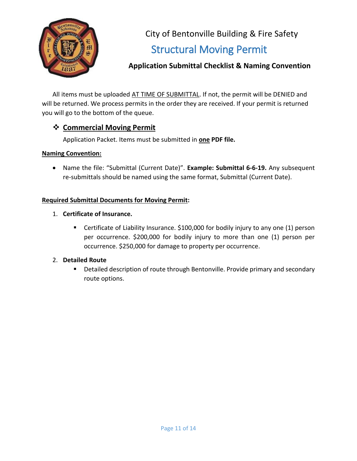

City of Bentonville Building & Fire Safety Structural Moving Permit

# <span id="page-10-0"></span>**Application Submittal Checklist & Naming Convention**

All items must be uploaded AT TIME OF SUBMITTAL. If not, the permit will be DENIED and will be returned. We process permits in the order they are received. If your permit is returned you will go to the bottom of the queue.

## **Commercial Moving Permit**

Application Packet. Items must be submitted in **one PDF file.**

#### **Naming Convention:**

 Name the file: "Submittal (Current Date)". **Example: Submittal 6-6-19.** Any subsequent re-submittals should be named using the same format, Submittal (Current Date).

#### **Required Submittal Documents for Moving Permit:**

- 1. **Certificate of Insurance.**
	- Certificate of Liability Insurance. \$100,000 for bodily injury to any one (1) person per occurrence. \$200,000 for bodily injury to more than one (1) person per occurrence. \$250,000 for damage to property per occurrence.

#### 2. **Detailed Route**

**Detailed description of route through Bentonville. Provide primary and secondary** route options.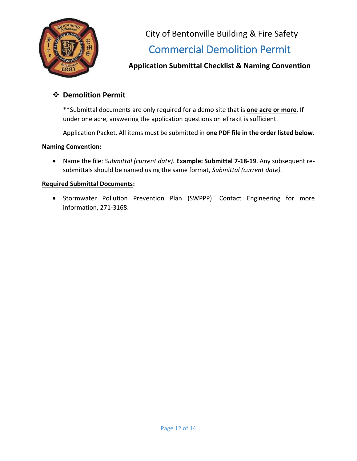

City of Bentonville Building & Fire Safety Commercial Demolition Permit

# <span id="page-11-0"></span>**Application Submittal Checklist & Naming Convention**

# **Demolition Permit**

\*\*Submittal documents are only required for a demo site that is **one acre or more**. If under one acre, answering the application questions on eTrakit is sufficient.

Application Packet. All items must be submitted in **one PDF file in the order listed below.**

#### **Naming Convention:**

 Name the file: *Submittal (current date).* **Example: Submittal 7-18-19**. Any subsequent resubmittals should be named using the same format, *Submittal (current date).*

#### **Required Submittal Documents:**

• Stormwater Pollution Prevention Plan (SWPPP). Contact Engineering for more information, 271-3168.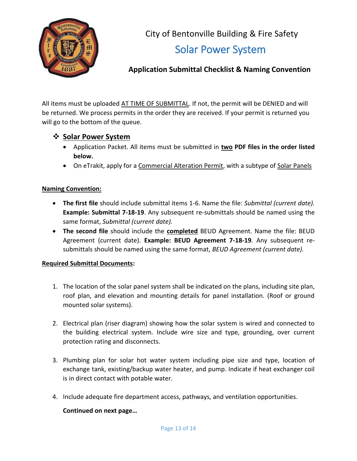

City of Bentonville Building & Fire Safety Solar Power System

# <span id="page-12-0"></span>**Application Submittal Checklist & Naming Convention**

All items must be uploaded AT TIME OF SUBMITTAL. If not, the permit will be DENIED and will be returned. We process permits in the order they are received. If your permit is returned you will go to the bottom of the queue.

#### $\diamondsuit$  **Solar Power System**

- Application Packet. All items must be submitted in **two PDF files in the order listed below.**
- On eTrakit, apply for a Commercial Alteration Permit, with a subtype of Solar Panels

#### **Naming Convention:**

- **The first file** should include submittal items 1-6. Name the file: *Submittal (current date).* **Example: Submittal 7-18-19**. Any subsequent re-submittals should be named using the same format, *Submittal (current date).*
- **The second file** should include the **completed** BEUD Agreement. Name the file: BEUD Agreement (current date). **Example: BEUD Agreement 7-18-19**. Any subsequent resubmittals should be named using the same format, *BEUD Agreement (current date).*

#### **Required Submittal Documents:**

- 1. The location of the solar panel system shall be indicated on the plans, including site plan, roof plan, and elevation and mounting details for panel installation. (Roof or ground mounted solar systems).
- 2. Electrical plan (riser diagram) showing how the solar system is wired and connected to the building electrical system. Include wire size and type, grounding, over current protection rating and disconnects.
- 3. Plumbing plan for solar hot water system including pipe size and type, location of exchange tank, existing/backup water heater, and pump. Indicate if heat exchanger coil is in direct contact with potable water.
- 4. Include adequate fire department access, pathways, and ventilation opportunities.

#### **Continued on next page…**